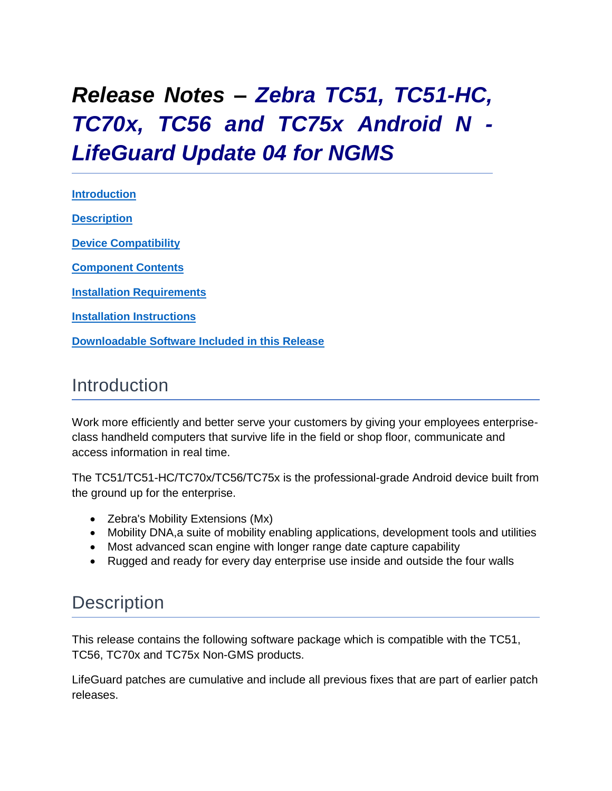# <span id="page-0-0"></span>*Release Notes – Zebra TC51, TC51-HC, TC70x, TC56 and TC75x Android N - LifeGuard Update 04 for NGMS*

**[Introduction](#page-0-0) [Description](#page-0-1)**

**[Device Compatibility](#page-1-0)**

**[Component Contents](#page-3-0)**

**[Installation Requirements](#page-3-1)**

**Installation [Instructions](#page-3-2)**

**[Downloadable Software Included in this Release](#page-7-0)**

## Introduction

Work more efficiently and better serve your customers by giving your employees enterpriseclass handheld computers that survive life in the field or shop floor, communicate and access information in real time.

The TC51/TC51-HC/TC70x/TC56/TC75x is the professional-grade Android device built from the ground up for the enterprise.

- Zebra's Mobility Extensions (Mx)
- Mobility DNA,a suite of mobility enabling applications, development tools and utilities
- Most advanced scan engine with longer range date capture capability
- Rugged and ready for every day enterprise use inside and outside the four walls

## <span id="page-0-1"></span>**Description**

This release contains the following software package which is compatible with the TC51, TC56, TC70x and TC75x Non-GMS products.

LifeGuard patches are cumulative and include all previous fixes that are part of earlier patch releases.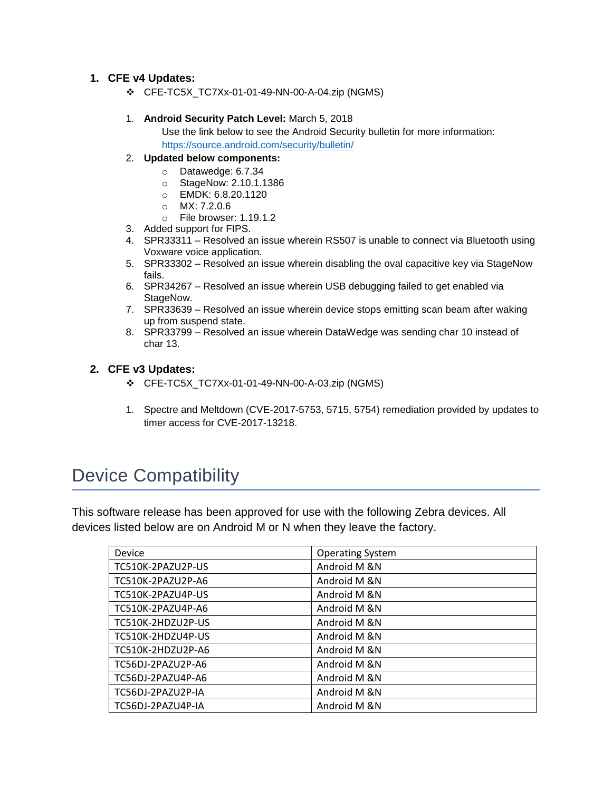### **1. CFE v4 Updates:**

❖ CFE-TC5X\_TC7Xx-01-01-49-NN-00-A-04.zip (NGMS)

#### 1. **Android Security Patch Level:** March 5, 2018

Use the link below to see the Android Security bulletin for more information: <https://source.android.com/security/bulletin/>

- 2. **Updated below components:**
	- o Datawedge: 6.7.34
	- o StageNow: 2.10.1.1386
	- o EMDK: 6.8.20.1120
	- o MX: 7.2.0.6
	- o File browser: 1.19.1.2
- 3. Added support for FIPS.
- 4. SPR33311 Resolved an issue wherein RS507 is unable to connect via Bluetooth using Voxware voice application.
- 5. SPR33302 Resolved an issue wherein disabling the oval capacitive key via StageNow fails.
- 6. SPR34267 Resolved an issue wherein USB debugging failed to get enabled via StageNow.
- 7. SPR33639 Resolved an issue wherein device stops emitting scan beam after waking up from suspend state.
- 8. SPR33799 Resolved an issue wherein DataWedge was sending char 10 instead of char 13.

#### **2. CFE v3 Updates:**

- ❖ CFE-TC5X\_TC7Xx-01-01-49-NN-00-A-03.zip (NGMS)
- 1. Spectre and Meltdown (CVE-2017-5753, 5715, 5754) remediation provided by updates to timer access for CVE-2017-13218.

## <span id="page-1-0"></span>Device Compatibility

This software release has been approved for use with the following Zebra devices. All devices listed below are on Android M or N when they leave the factory.

| Device            | <b>Operating System</b> |
|-------------------|-------------------------|
| TC510K-2PAZU2P-US | Android M &N            |
| TC510K-2PAZU2P-A6 | Android M &N            |
| TC510K-2PAZU4P-US | Android M &N            |
| TC510K-2PAZU4P-A6 | Android M &N            |
| TC510K-2HDZU2P-US | Android M & N           |
| TC510K-2HDZU4P-US | Android M &N            |
| TC510K-2HDZU2P-A6 | Android M & N           |
| TC56DJ-2PAZU2P-A6 | Android M & N           |
| TC56DJ-2PAZU4P-A6 | Android M & N           |
| TC56DJ-2PAZU2P-IA | Android M & N           |
| TC56DJ-2PAZU4P-IA | Android M &N            |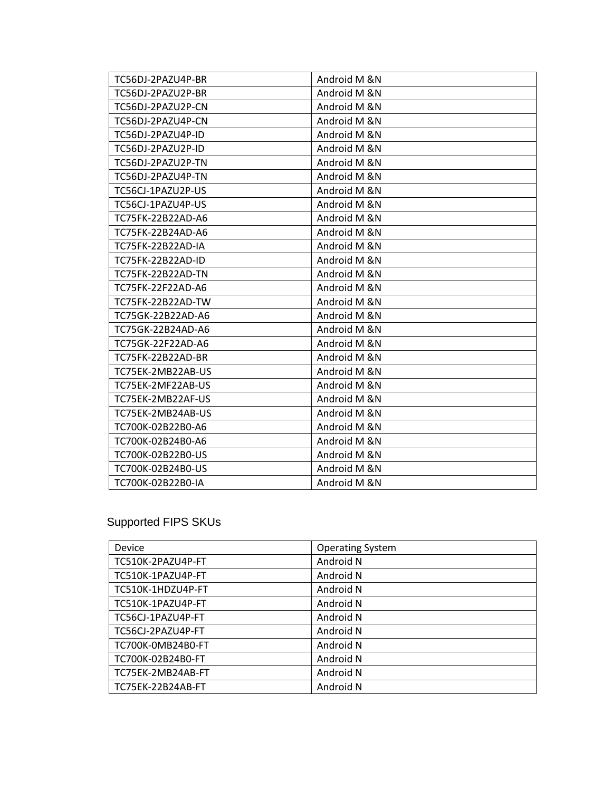| TC56DJ-2PAZU4P-BR | Android M &N  |
|-------------------|---------------|
| TC56DJ-2PAZU2P-BR | Android M &N  |
| TC56DJ-2PAZU2P-CN | Android M &N  |
| TC56DJ-2PAZU4P-CN | Android M &N  |
| TC56DJ-2PAZU4P-ID | Android M &N  |
| TC56DJ-2PAZU2P-ID | Android M &N  |
| TC56DJ-2PAZU2P-TN | Android M & N |
| TC56DJ-2PAZU4P-TN | Android M &N  |
| TC56CJ-1PAZU2P-US | Android M &N  |
| TC56CJ-1PAZU4P-US | Android M &N  |
| TC75FK-22B22AD-A6 | Android M &N  |
| TC75FK-22B24AD-A6 | Android M &N  |
| TC75FK-22B22AD-IA | Android M &N  |
| TC75FK-22B22AD-ID | Android M &N  |
| TC75FK-22B22AD-TN | Android M &N  |
| TC75FK-22F22AD-A6 | Android M &N  |
| TC75FK-22B22AD-TW | Android M &N  |
| TC75GK-22B22AD-A6 | Android M &N  |
| TC75GK-22B24AD-A6 | Android M &N  |
| TC75GK-22F22AD-A6 | Android M &N  |
| TC75FK-22B22AD-BR | Android M &N  |
| TC75EK-2MB22AB-US | Android M &N  |
| TC75EK-2MF22AB-US | Android M &N  |
| TC75EK-2MB22AF-US | Android M &N  |
| TC75EK-2MB24AB-US | Android M &N  |
| TC700K-02B22B0-A6 | Android M &N  |
| TC700K-02B24B0-A6 | Android M &N  |
| TC700K-02B22B0-US | Android M &N  |
| TC700K-02B24B0-US | Android M &N  |
| TC700K-02B22B0-IA | Android M &N  |

## Supported FIPS SKUs

| Device            | <b>Operating System</b> |
|-------------------|-------------------------|
| TC510K-2PAZU4P-FT | Android N               |
| TC510K-1PAZU4P-FT | Android N               |
| TC510K-1HDZU4P-FT | Android N               |
| TC510K-1PAZU4P-FT | Android N               |
| TC56CJ-1PAZU4P-FT | Android N               |
| TC56CJ-2PAZU4P-FT | Android N               |
| TC700K-0MB24B0-FT | Android N               |
| TC700K-02B24B0-FT | Android N               |
| TC75EK-2MB24AB-FT | Android N               |
| TC75EK-22B24AB-FT | Android N               |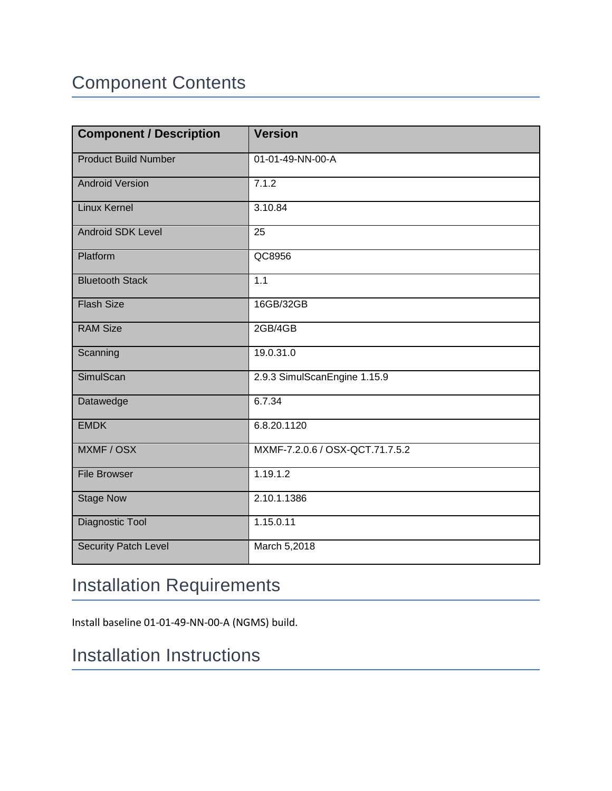# <span id="page-3-0"></span>Component Contents

| <b>Component / Description</b> | <b>Version</b>                  |
|--------------------------------|---------------------------------|
| <b>Product Build Number</b>    | 01-01-49-NN-00-A                |
| <b>Android Version</b>         | 7.1.2                           |
| <b>Linux Kernel</b>            | 3.10.84                         |
| Android SDK Level              | 25                              |
| Platform                       | QC8956                          |
| <b>Bluetooth Stack</b>         | 1.1                             |
| <b>Flash Size</b>              | 16GB/32GB                       |
| <b>RAM Size</b>                | 2GB/4GB                         |
| Scanning                       | 19.0.31.0                       |
| SimulScan                      | 2.9.3 SimulScanEngine 1.15.9    |
| Datawedge                      | 6.7.34                          |
| <b>EMDK</b>                    | 6.8.20.1120                     |
| MXMF / OSX                     | MXMF-7.2.0.6 / OSX-QCT.71.7.5.2 |
| <b>File Browser</b>            | 1.19.1.2                        |
| <b>Stage Now</b>               | 2.10.1.1386                     |
| Diagnostic Tool                | 1.15.0.11                       |
| <b>Security Patch Level</b>    | March 5,2018                    |

# <span id="page-3-1"></span>Installation Requirements

Install baseline 01-01-49-NN-00-A (NGMS) build.

# <span id="page-3-2"></span>Installation Instructions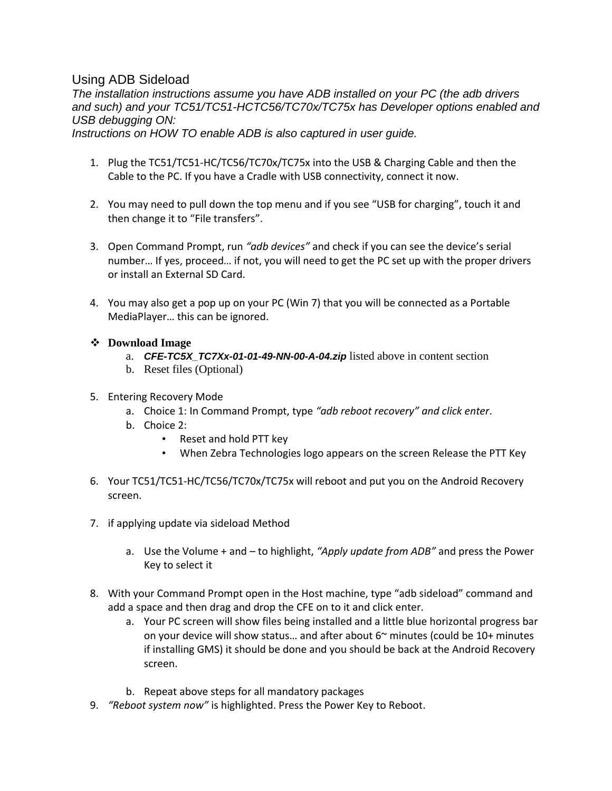### Using ADB Sideload

*The installation instructions assume you have ADB installed on your PC (the adb drivers and such) and your TC51/TC51-HCTC56/TC70x/TC75x has Developer options enabled and USB debugging ON:*

*Instructions on HOW TO enable ADB is also captured in user guide.*

- 1. Plug the TC51/TC51-HC/TC56/TC70x/TC75x into the USB & Charging Cable and then the Cable to the PC. If you have a Cradle with USB connectivity, connect it now.
- 2. You may need to pull down the top menu and if you see "USB for charging", touch it and then change it to "File transfers".
- 3. Open Command Prompt, run *"adb devices"* and check if you can see the device's serial number… If yes, proceed… if not, you will need to get the PC set up with the proper drivers or install an External SD Card.
- 4. You may also get a pop up on your PC (Win 7) that you will be connected as a Portable MediaPlayer… this can be ignored.
- ❖ **Download Image** 
	- a. *CFE-TC5X\_TC7Xx-01-01-49-NN-00-A-04.zip* listed above in content section
	- b. Reset files (Optional)
- 5. Entering Recovery Mode
	- a. Choice 1: In Command Prompt, type *"adb reboot recovery" and click enter*.
	- b. Choice 2:
		- Reset and hold PTT key
		- When Zebra Technologies logo appears on the screen Release the PTT Key
- 6. Your TC51/TC51-HC/TC56/TC70x/TC75x will reboot and put you on the Android Recovery screen.
- 7. if applying update via sideload Method
	- a. Use the Volume + and to highlight, *"Apply update from ADB"* and press the Power Key to select it
- 8. With your Command Prompt open in the Host machine, type "adb sideload" command and add a space and then drag and drop the CFE on to it and click enter.
	- a. Your PC screen will show files being installed and a little blue horizontal progress bar on your device will show status... and after about  $6<sup>th</sup>$  minutes (could be  $10+$  minutes if installing GMS) it should be done and you should be back at the Android Recovery screen.
	- b. Repeat above steps for all mandatory packages
- 9. *"Reboot system now"* is highlighted. Press the Power Key to Reboot.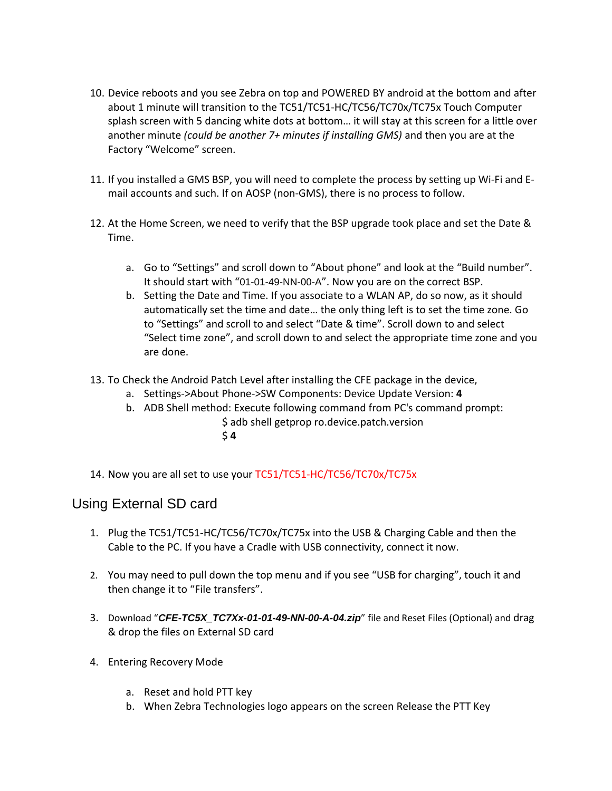- 10. Device reboots and you see Zebra on top and POWERED BY android at the bottom and after about 1 minute will transition to the TC51/TC51-HC/TC56/TC70x/TC75x Touch Computer splash screen with 5 dancing white dots at bottom… it will stay at this screen for a little over another minute *(could be another 7+ minutes if installing GMS)* and then you are at the Factory "Welcome" screen.
- 11. If you installed a GMS BSP, you will need to complete the process by setting up Wi‐Fi and E‐ mail accounts and such. If on AOSP (non‐GMS), there is no process to follow.
- 12. At the Home Screen, we need to verify that the BSP upgrade took place and set the Date & Time.
	- a. Go to "Settings" and scroll down to "About phone" and look at the "Build number". It should start with "01-01-49-NN-00-A". Now you are on the correct BSP.
	- b. Setting the Date and Time. If you associate to a WLAN AP, do so now, as it should automatically set the time and date… the only thing left is to set the time zone. Go to "Settings" and scroll to and select "Date & time". Scroll down to and select "Select time zone", and scroll down to and select the appropriate time zone and you are done.
- 13. To Check the Android Patch Level after installing the CFE package in the device,
	- a. Settings->About Phone->SW Components: Device Update Version: **4**
	- b. ADB Shell method: Execute following command from PC's command prompt: \$ adb shell getprop ro.device.patch.version
		- \$ **4**
- 14. Now you are all set to use your TC51/TC51-HC/TC56/TC70x/TC75x

### Using External SD card

- 1. Plug the TC51/TC51-HC/TC56/TC70x/TC75x into the USB & Charging Cable and then the Cable to the PC. If you have a Cradle with USB connectivity, connect it now.
- 2. You may need to pull down the top menu and if you see "USB for charging", touch it and then change it to "File transfers".
- 3. Download "*CFE-TC5X\_TC7Xx-01-01-49-NN-00-A-04.zip*" file and Reset Files (Optional) and drag & drop the files on External SD card
- 4. Entering Recovery Mode
	- a. Reset and hold PTT key
	- b. When Zebra Technologies logo appears on the screen Release the PTT Key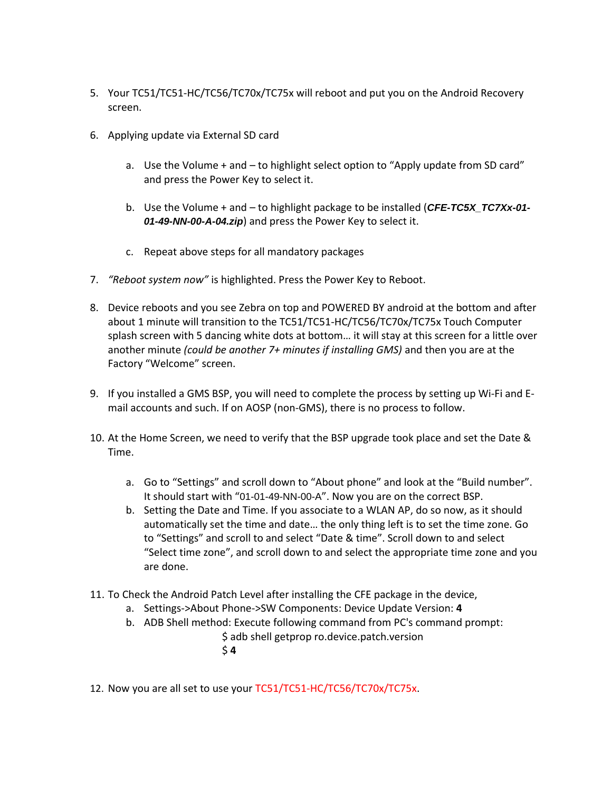- 5. Your TC51/TC51-HC/TC56/TC70x/TC75x will reboot and put you on the Android Recovery screen.
- 6. Applying update via External SD card
	- a. Use the Volume + and to highlight select option to "Apply update from SD card" and press the Power Key to select it.
	- b. Use the Volume + and to highlight package to be installed (*CFE-TC5X\_TC7Xx-01- 01-49-NN-00-A-04.zip*) and press the Power Key to select it.
	- c. Repeat above steps for all mandatory packages
- 7. *"Reboot system now"* is highlighted. Press the Power Key to Reboot.
- 8. Device reboots and you see Zebra on top and POWERED BY android at the bottom and after about 1 minute will transition to the TC51/TC51-HC/TC56/TC70x/TC75x Touch Computer splash screen with 5 dancing white dots at bottom… it will stay at this screen for a little over another minute *(could be another 7+ minutes if installing GMS)* and then you are at the Factory "Welcome" screen.
- 9. If you installed a GMS BSP, you will need to complete the process by setting up Wi‐Fi and E‐ mail accounts and such. If on AOSP (non‐GMS), there is no process to follow.
- 10. At the Home Screen, we need to verify that the BSP upgrade took place and set the Date & Time.
	- a. Go to "Settings" and scroll down to "About phone" and look at the "Build number". It should start with "01-01-49-NN-00-A". Now you are on the correct BSP.
	- b. Setting the Date and Time. If you associate to a WLAN AP, do so now, as it should automatically set the time and date… the only thing left is to set the time zone. Go to "Settings" and scroll to and select "Date & time". Scroll down to and select "Select time zone", and scroll down to and select the appropriate time zone and you are done.
- 11. To Check the Android Patch Level after installing the CFE package in the device,
	- a. Settings->About Phone->SW Components: Device Update Version: **4**
	- b. ADB Shell method: Execute following command from PC's command prompt: \$ adb shell getprop ro.device.patch.version \$ **4**

12. Now you are all set to use your TC51/TC51-HC/TC56/TC70x/TC75x.